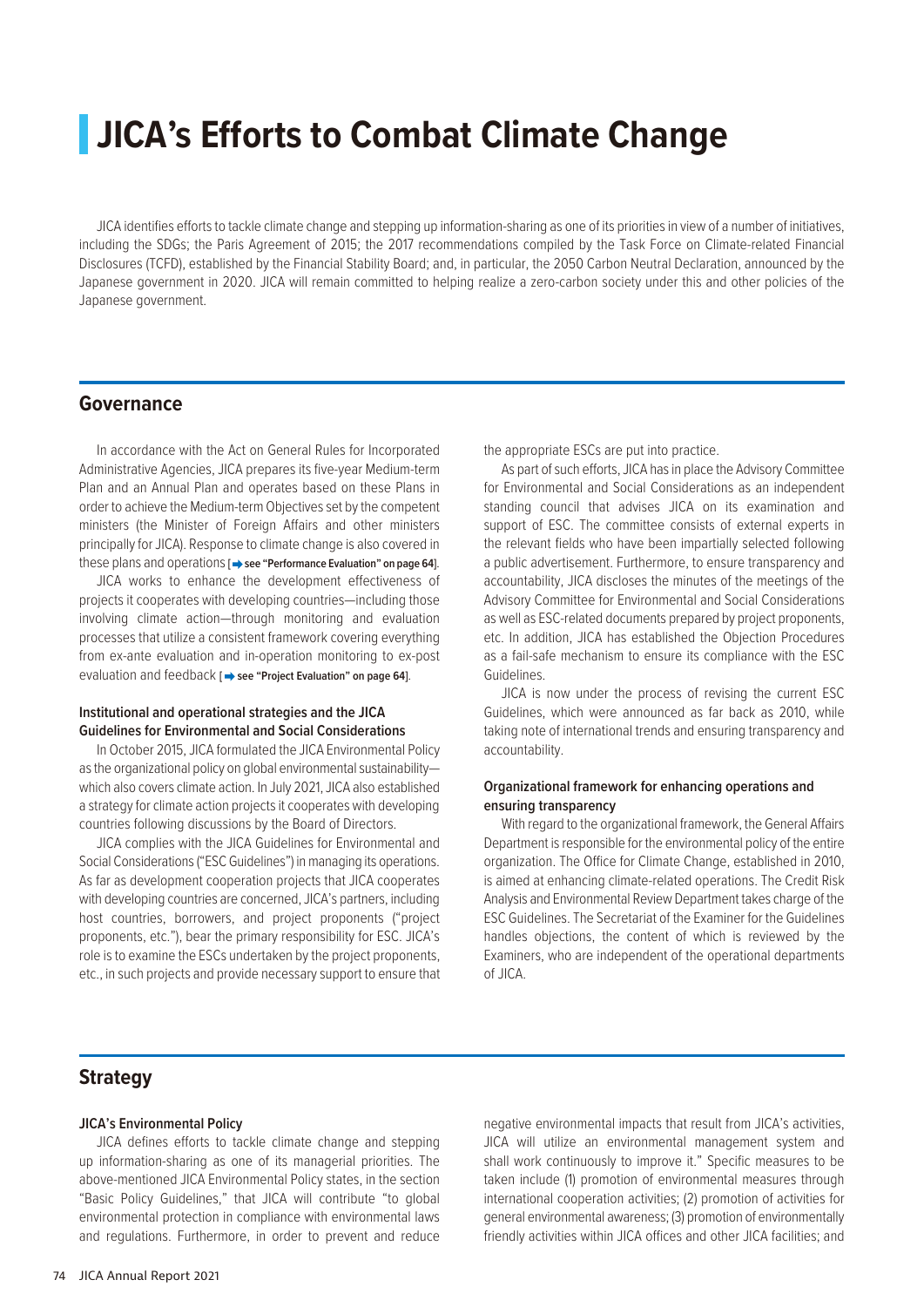# **JICA's Efforts to Combat Climate Change**

JICA identifies efforts to tackle climate change and stepping up information-sharing as one of its priorities in view of a number of initiatives, including the SDGs; the Paris Agreement of 2015; the 2017 recommendations compiled by the Task Force on Climate-related Financial Disclosures (TCFD), established by the Financial Stability Board; and, in particular, the 2050 Carbon Neutral Declaration, announced by the Japanese government in 2020. JICA will remain committed to helping realize a zero-carbon society under this and other policies of the Japanese government.

## **Governance**

In accordance with the Act on General Rules for Incorporated Administrative Agencies, JICA prepares its five-year Medium-term Plan and an Annual Plan and operates based on these Plans in order to achieve the Medium-term Objectives set by the competent ministers (the Minister of Foreign Affairs and other ministers principally for JICA). Response to climate change is also covered in these plans and operations [ $\Rightarrow$  see "Performance Evaluation" on page 64].

JICA works to enhance the development effectiveness of projects it cooperates with developing countries—including those involving climate action—through monitoring and evaluation processes that utilize a consistent framework covering everything from ex-ante evaluation and in-operation monitoring to ex-post evaluation and feedback [ $\rightarrow$  see "Project Evaluation" on page 64].

#### **Institutional and operational strategies and the JICA Guidelines for Environmental and Social Considerations**

In October 2015, JICA formulated the JICA Environmental Policy as the organizational policy on global environmental sustainability which also covers climate action. In July 2021, JICA also established a strategy for climate action projects it cooperates with developing countries following discussions by the Board of Directors.

JICA complies with the JICA Guidelines for Environmental and Social Considerations ("ESC Guidelines") in managing its operations. As far as development cooperation projects that JICA cooperates with developing countries are concerned, JICA's partners, including host countries, borrowers, and project proponents ("project proponents, etc."), bear the primary responsibility for ESC. JICA's role is to examine the ESCs undertaken by the project proponents, etc., in such projects and provide necessary support to ensure that the appropriate ESCs are put into practice.

As part of such efforts, JICA has in place the Advisory Committee for Environmental and Social Considerations as an independent standing council that advises JICA on its examination and support of ESC. The committee consists of external experts in the relevant fields who have been impartially selected following a public advertisement. Furthermore, to ensure transparency and accountability, JICA discloses the minutes of the meetings of the Advisory Committee for Environmental and Social Considerations as well as ESC-related documents prepared by project proponents, etc. In addition, JICA has established the Objection Procedures as a fail-safe mechanism to ensure its compliance with the ESC Guidelines.

JICA is now under the process of revising the current ESC Guidelines, which were announced as far back as 2010, while taking note of international trends and ensuring transparency and accountability.

### **Organizational framework for enhancing operations and ensuring transparency**

With regard to the organizational framework, the General Affairs Department is responsible for the environmental policy of the entire organization. The Office for Climate Change, established in 2010, is aimed at enhancing climate-related operations. The Credit Risk Analysis and Environmental Review Department takes charge of the ESC Guidelines. The Secretariat of the Examiner for the Guidelines handles objections, the content of which is reviewed by the Examiners, who are independent of the operational departments of JICA.

# **Strategy**

#### **JICA's Environmental Policy**

JICA defines efforts to tackle climate change and stepping up information-sharing as one of its managerial priorities. The above-mentioned JICA Environmental Policy states, in the section "Basic Policy Guidelines," that JICA will contribute "to global environmental protection in compliance with environmental laws and regulations. Furthermore, in order to prevent and reduce negative environmental impacts that result from JICA's activities, JICA will utilize an environmental management system and shall work continuously to improve it." Specific measures to be taken include (1) promotion of environmental measures through international cooperation activities; (2) promotion of activities for general environmental awareness; (3) promotion of environmentally friendly activities within JICA offices and other JICA facilities; and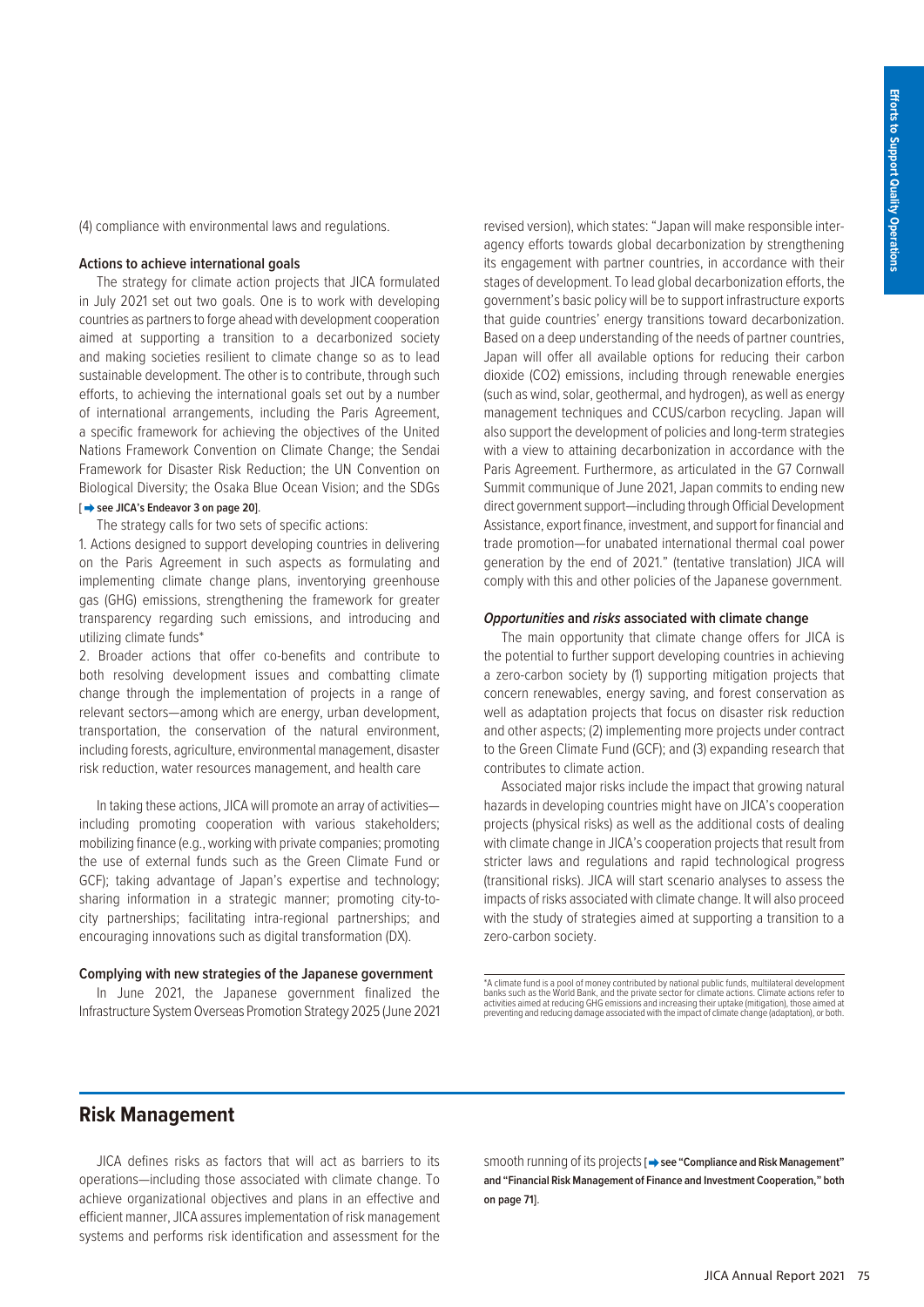(4) compliance with environmental laws and regulations.

#### **Actions to achieve international goals**

The strategy for climate action projects that JICA formulated in July 2021 set out two goals. One is to work with developing countries as partners to forge ahead with development cooperation aimed at supporting a transition to a decarbonized society and making societies resilient to climate change so as to lead sustainable development. The other is to contribute, through such efforts, to achieving the international goals set out by a number of international arrangements, including the Paris Agreement, a specific framework for achieving the objectives of the United Nations Framework Convention on Climate Change; the Sendai Framework for Disaster Risk Reduction; the UN Convention on Biological Diversity; the Osaka Blue Ocean Vision; and the SDGs

#### **[ see JICA's Endeavor 3 on page 20]**.

The strategy calls for two sets of specific actions:

1. Actions designed to support developing countries in delivering on the Paris Agreement in such aspects as formulating and implementing climate change plans, inventorying greenhouse gas (GHG) emissions, strengthening the framework for greater transparency regarding such emissions, and introducing and utilizing climate funds\*

2. Broader actions that offer co-benefits and contribute to both resolving development issues and combatting climate change through the implementation of projects in a range of relevant sectors—among which are energy, urban development, transportation, the conservation of the natural environment, including forests, agriculture, environmental management, disaster risk reduction, water resources management, and health care

In taking these actions, JICA will promote an array of activities including promoting cooperation with various stakeholders; mobilizing finance (e.g., working with private companies; promoting the use of external funds such as the Green Climate Fund or GCF); taking advantage of Japan's expertise and technology; sharing information in a strategic manner; promoting city-tocity partnerships; facilitating intra-regional partnerships; and encouraging innovations such as digital transformation (DX).

#### **Complying with new strategies of the Japanese government**

In June 2021, the Japanese government finalized the Infrastructure System Overseas Promotion Strategy 2025 (June 2021 revised version), which states: "Japan will make responsible interagency efforts towards global decarbonization by strengthening its engagement with partner countries, in accordance with their stages of development. To lead global decarbonization efforts, the government's basic policy will be to support infrastructure exports that guide countries' energy transitions toward decarbonization. Based on a deep understanding of the needs of partner countries, Japan will offer all available options for reducing their carbon dioxide (CO2) emissions, including through renewable energies (such as wind, solar, geothermal, and hydrogen), as well as energy management techniques and CCUS/carbon recycling. Japan will also support the development of policies and long-term strategies with a view to attaining decarbonization in accordance with the Paris Agreement. Furthermore, as articulated in the G7 Cornwall Summit communique of June 2021, Japan commits to ending new direct government support—including through Official Development Assistance, export finance, investment, and support for financial and trade promotion—for unabated international thermal coal power generation by the end of 2021." (tentative translation) JICA will comply with this and other policies of the Japanese government.

#### *Opportunities* **and** *risks* **associated with climate change**

The main opportunity that climate change offers for JICA is the potential to further support developing countries in achieving a zero-carbon society by (1) supporting mitigation projects that concern renewables, energy saving, and forest conservation as well as adaptation projects that focus on disaster risk reduction and other aspects; (2) implementing more projects under contract to the Green Climate Fund (GCF); and (3) expanding research that contributes to climate action.

Associated major risks include the impact that growing natural hazards in developing countries might have on JICA's cooperation projects (physical risks) as well as the additional costs of dealing with climate change in JICA's cooperation projects that result from stricter laws and regulations and rapid technological progress (transitional risks). JICA will start scenario analyses to assess the impacts of risks associated with climate change. It will also proceed with the study of strategies aimed at supporting a transition to a zero-carbon society.

\*A climate fund is a pool of money contributed by national public funds, multilateral development<br>banks such as the World Bank, and the private sector for climate actions. Climate actions refer to<br>activities aimed at reduc

# **Risk Management**

JICA defines risks as factors that will act as barriers to its operations—including those associated with climate change. To achieve organizational objectives and plans in an effective and efficient manner, JICA assures implementation of risk management systems and performs risk identification and assessment for the

smooth running of its projects [ $\rightarrow$  see "Compliance and Risk Management" **and "Financial Risk Management of Finance and Investment Cooperation," both on page 71]**.